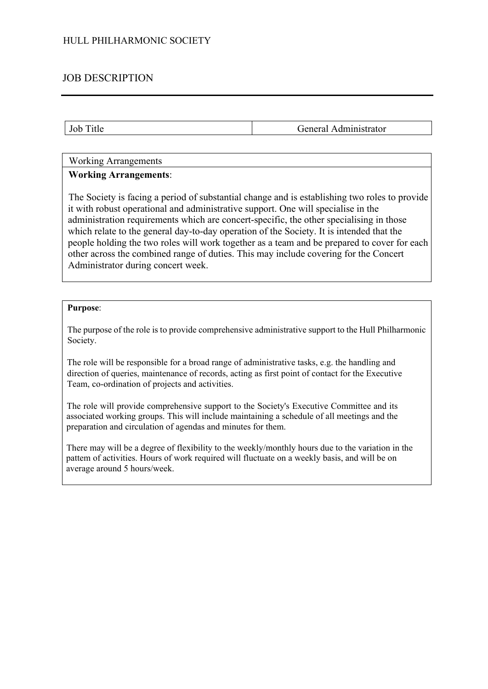# JOB DESCRIPTION

Job Title General Administrator

## Working Arrangements

## **Working Arrangements**:

The Society is facing a period of substantial change and is establishing two roles to provide it with robust operational and administrative support. One will specialise in the administration requirements which are concert-specific, the other specialising in those which relate to the general day-to-day operation of the Society. It is intended that the people holding the two roles will work together as a team and be prepared to cover for each other across the combined range of duties. This may include covering for the Concert Administrator during concert week.

### **Purpose**:

The purpose of the role is to provide comprehensive administrative support to the Hull Philharmonic Society.

The role will be responsible for a broad range of administrative tasks, e.g. the handling and direction of queries, maintenance of records, acting as first point of contact for the Executive Team, co-ordination of projects and activities.

The role will provide comprehensive support to the Society's Executive Committee and its associated working groups. This will include maintaining a schedule of all meetings and the preparation and circulation of agendas and minutes for them.

There may will be a degree of flexibility to the weekly/monthly hours due to the variation in the pattem of activities. Hours of work required will fluctuate on a weekly basis, and will be on average around 5 hours/week.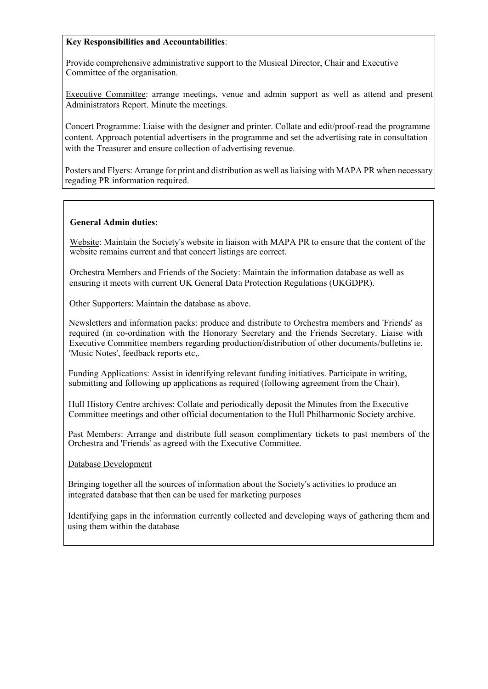## **Key Responsibilities and Accountabilities**:

Provide comprehensive administrative support to the Musical Director, Chair and Executive Committee of the organisation.

Executive Committee: arrange meetings, venue and admin support as well as attend and present Administrators Report. Minute the meetings.

Concert Programme: Liaise with the designer and printer. Collate and edit/proof-read the programme content. Approach potential advertisers in the programme and set the advertising rate in consultation with the Treasurer and ensure collection of advertising revenue.

Posters and Flyers: Arrange for print and distribution as well as liaising with MAPA PR when necessary regading PR information required.

### **General Admin duties:**

Website: Maintain the Society's website in liaison with MAPA PR to ensure that the content of the website remains current and that concert listings are correct.

Orchestra Members and Friends of the Society: Maintain the information database as well as ensuring it meets with current UK General Data Protection Regulations (UKGDPR).

Other Supporters: Maintain the database as above.

Newsletters and information packs: produce and distribute to Orchestra members and 'Friends' as required (in co-ordination with the Honorary Secretary and the Friends Secretary. Liaise with Executive Committee members regarding production/distribution of other documents/bulletins ie. 'Music Notes', feedback reports etc,.

Funding Applications: Assist in identifying relevant funding initiatives. Participate in writing, submitting and following up applications as required (following agreement from the Chair).

Hull History Centre archives: Collate and periodically deposit the Minutes from the Executive Committee meetings and other official documentation to the Hull Philharmonic Society archive.

Past Members: Arrange and distribute full season complimentary tickets to past members of the Orchestra and 'Friends' as agreed with the Executive Committee.

Database Development

Bringing together all the sources of information about the Society's activities to produce an integrated database that then can be used for marketing purposes

Identifying gaps in the information currently collected and developing ways of gathering them and using them within the database